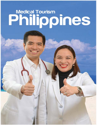# Medical Tourism<br>Philippines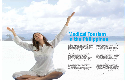# **Medical Tourism in the Philippines**

��---...\_�� .���-

Mabuhay! The Philippines welcomes you to its 7, 107 islands of wellness and healing. With government institutions and private sector partners continuing to develop and promote the country's medical travel and tourism industry, the Philippines has made great strides in globally positioning the country as the heart of Asia, combining modern technology and international standards in healthcare with Philippine culture and tradition, highlighting the warmth of the Filipino people.

Significant investments by medical tourism industry players in cutting-edge medical technology and healthcare facilities have provided the needed boost to the country's health sector. ISO certification is a standard, and more hospitals and clinics have secured international accreditation from prestigious bodies like the Joint Commission International (JCI), Accreditation Canada (ACI), and UK Trent. This has contributed to elevating the country's status as a premiere destination for international medical travel and wellness tourism.

The Philippines' crowning glory is its human resources. Filipino medical, surgical, and dental specialists, nurses and allied health professionals serve in many countries around the world. Their services are highly regarded as they are known to combine their competence,

I Medicine Philosophie 2.1 [FA]. Indian Andrew Philosophie 2.1 [FA]. Indian Andrew Philosophie 2.1 [FA]. Indian Andrew Philosophie 2.1 [FA]. Indian Andrew Philosophie 2.1 [FA]. Indian Andrew Philosophie 2.1 [FA]. Indian An

expertise, English proficiency and training with their warm, culturally sensitive, compassionate and caring nature, offering a brand of service that is distinctly Filipino.

The Philippines has a number of medical travel facilitators accredited by the Department of Tourism. The healthcare providers offer varying levels of concierge services, either directly or through tie-ups with travel agencies and other support services. These globally competitive customer service efforts, essential to the customer care continuum and experience, are delivered by well-trained and educated frontliners who have only the patients' interests at heart.

Its key centers of excellence have a clear price advantage in many medical and surgical procedures, most especially in aesthetics (including dental services), cardiology, executive checkups, minimally invasive surgery, ophthalmology and orthopedics. With internationally accredited healthcare facilities offering attractive packages, there are a myriad of options for medical travelers and tourists alike. The Philippines is well on its way to charting its path as a medical tourism jewel in Asia. We invite you to experience our 7, 107 islands of wellness and healing, and discover why it is indeed more fun in the Philippines!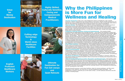**Value** for **Money Destination** 



**Highly Skilled, Culturally Sensitive, Caring and Compassionate Medical Practitioners** 



**Cutting-edge Technology**  $\mathbf{a}$ **World-class Healthcare Facilities** 



**English Proficient Healthcare Workers** 



**Ultimate Destination for Fun Get-aways** and **Quiet Retreats** 

### **Why the Philippines is More Fun for Wellness and Healing**

*Heartfelt Hospitality. At the core of the Philippines' brand of healthcare is the warmth, openness, sincere compassion and cheerfulness of its people. Filipino health practitioners are experts not only at making sure that medical needs are met, but also at going the extra mile to care for their patients, an attitude that is deeply rooted in its culture and tradition. Value for Money. The Philippines is a value-for-money destination, with medical treatment rates known to be more than 50% lower than costs in the United States and Europe. Treatments offered by leading healthcare providers are at par with the world's most prestigious medical hubs. Health professionals do not just offer their expertise and interventions – they spend quality time with their patients. It is this kind of patient care, sought after globally, that brings about holistic healing.* 

*Competent, Culturally Sensitive, Caring and Compassionate. The country's health professionals are highly-skilled and culturally sensitive* - *from doctors and dentists to nurses and caregivers. This is why Filipino health practitioners are among the most sought-after globally. Many Filipino doctors have received the best medical education from top institutions in the world – USA, Europe, and Australia. They have undergone rigid and extensive specialty and sub-specialty training, and are duly-licensed or certified in the Philippines and even internationally. Exposed to years of experience in various settings, Filipino health professionals are equipped to address a range of health needs and are motivated to foster full recovery. Concierge services are available to help put together tailor-made health holidays and wellness packages for the most discerning of medical travellers and tourists. Services include liaising with healthcare providers, arranging accommodation and transportation requirements, and putting together post treatment get-aways in the Philippines, from fun activities to quiet retreats to complete the wellness and healing process. World-Class Facilities. In the Philippines, the leading hospitals are internationally accredited by the Joint Commission International (JC/), Accreditation Canada (AC/), UK Trent and several other prestigious accreditation bodies. State-of-the-art facilities and cutting-edge diagnostic and treatment devices, combined with Filipino doctors' technical skills and intuitiveness, guarantee excellent healthcare delivery with emphasis on patient safety and quality of care. Ease of Communication. Communication between patients and health providers is the cornerstone of healthcare delivery. As the world's third largest English-speaking nation, communication is never a problem, in any given area in the Philippines. There are no barriers to conveying health needs and receiving salient information, from the time a medical tourist arrives in the country until the time he or she is ready to make the journey home. Coordinating the various aspects of a medical journey is easy and stress-free. Healthcare on Demand. In the Philippines, medical care is available on demand. With less time spent waiting for medical treatment, there is more time for healing and recuperation and a faster road to recovery.* 

*Ultimate Holiday Destination for Rest, Recreation and Reinvigoration. The healing of the spirit is as important to the well-being of a patient as is the healing of the body. This is where the Philippines reigns supreme. Its* 7, *107 tropical islands offer endless possibilities for unique health holidays and fun travel experiences that clear the mind, reinvigorate the body, and uplift the spirit: from great shopping and superb entertainment to delightful beach retreats; refreshing island-hopping adventures to charming cultural encounters; experiencing wellness zones to delectable food trips all accompanied with the nurturing nature of the healthcare professionals and the friendliness of the locals.* 

*With the beautiful scenery, world class facilities, value for money packages, and the warm hospitality of the Filipinos, we invite you to visit the Philippines again and again. The Philippines is ready to welcome you to the heart of Asia. Let the wellness adventure and the journey to healing begin.*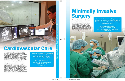# **Cardiovascular Care**

Heart specialists perform more than 3,000 cardiac surgeries in the Philippines every year, with a success rate of 99%. Healthcare facilities offer the whole spectrum of cardiovascular care services - from preventive cardiology and medical treatment to surgery and cardiac rehabilitation. The country's top cardiologists, intensivists, and cardiovascular surgeons, supported by multidisciplinary teams of nurses, therapists, and other health professionals, conduct the following procedures regularly: Coronary Artery Bypass Graft (CABG) surgery; heart valve replacement; permanent pacemaker insertion; patent ductus arteriosus (PDA) closure; and coronary angiography. With patients under the care of Filipino heart surgeons and rehab doctors, one could have the certainty of a shift to an early recovery from a heart ailment.

"With the pacemaker, the patient can resume her normal activities without fear. It is meant to improve quality of life."

Dr. Luigi Segundo **Cardiac Rythym Specialist The Medical City Philippines** 

# Health Screening/Executive Health Check-up

# **Surgery**

Thanks to the latest in medical technology, surgical procedures are now less invasive and can be done with minimal hospital stays, ensuring faster recovery time for the patient. Outstanding Filipino surgeons, many of whom have been trained in the USA and Europe, are capable of performing minimally invasive surgery techniques, from laparoscopic gastric bypass, to endoscopic thoracic sympathectomy to cure hyperhidrosis (excessive sweating).





"I think that's the best thing robotic surgery is offering us - the promise of having more time to spend and enjoy with loved ones."

**Dr. Rebecca Singson St. Luke's Medical Center MIS / Robotic Surgery Specialist** Philippines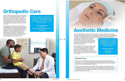# **Orthopedic Care**

A pool of experienced doctors in the field, half of them from JCI-accredited hospitals, trained with the use of a novel instrumentation. Doctors, skilled in the use of this device, would prevent a misaligned knee from being revised in 3 to 5 years. A good TKR or total knee replacement can last up to 20 to 25 years. TKR is one of the most expensive procedures (total annual cost) in the US.

Experience and excellence are trademarks of internationally-recognized orthopaedic programs in the Philippines. Our highly-skilled orthopedic surgeons, nurses, and therapists render high quality bone and joint surgical procedures such as anterior cruciate ligament (ACL) repair, arthroscopic surgery (knee, shoulder), total knee replacement, total hip replacement, spine surgery, carpal tunnel release, and open or closed reduction (ankle, forearm, etc.).

"Trust the Filipino orthopedic doctors with perfectly-aligned knee implants. A good TKR or total knee replacement can last up to 20 to 25 years."

**Mr. Jude Sasing** President Orthopaedic International Inc. **Philippines** 

5 Minimally Invasive

# **Aesthetic Medicine**

They say that beauty is in the eye of the beholder. In certain cases, it is also in the hands of interdisciplinary teams led by plastic and cosmetic surgeons. In the Philippines, aesthetic and wellness centers are now integrated in most of the tertiary hospitals, while a number of medical spas offer safe and non-invasive treatments. A wide selection of procedures is available, including hair transplantation, eyelid surgery, eye bag "Australians look for health removal, nose lift, face and neck lift, tummy holidays when it comes to tuck, breast augmentation or reduction, and liposuction to support the achievement of the Philippines. They save personal beauty goals. on dental costs and have a grand vacation!" The Philippines is also home to some of the

world's leading dermatologists and skin care experts. Dermatological services include skin rejuvenation (tightening, contouring, resurfacing), sclerotherapy for varicose and spider veins; laser hair removal, scar revisions, acne treatment, dermabrasion, Botox treatment, among others.

### **Dental Care**

Dental care in the Philippines is getting to be a leading medical tourism product. The country is a hub for comprehensive and highly specialized dental treatments at affordable costs. It also has a high standard of dental service and strict sterilization procedures, with ISO 9001:2000 certification.

A wide variety of procedures are available, such as simple or complicated tooth extraction, setting of dental implants, root canal therapy, peridontal treatment, partial and complete dentures, temporo-mandibular joint (TMJ) disorder dentistry, and cosmetic dentistry. With a little help from the country's dental care professionals, the perfect smile can be achieved.

**Robert Graham** Founder **All About Asia** Australia